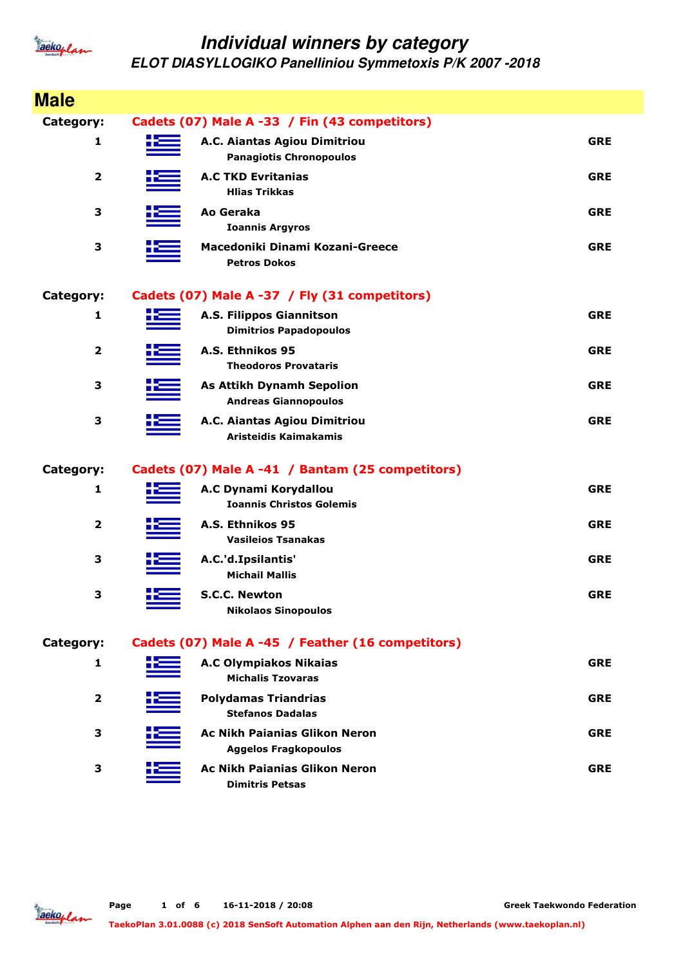

| <b>Male</b>             |                                                                     |            |
|-------------------------|---------------------------------------------------------------------|------------|
| Category:               | Cadets (07) Male A -33 / Fin (43 competitors)                       |            |
| 1                       | A.C. Aiantas Agiou Dimitriou<br><b>Panagiotis Chronopoulos</b>      | <b>GRE</b> |
| $\mathbf{2}$            | <b>A.C TKD Evritanias</b><br><b>Hlias Trikkas</b>                   | <b>GRE</b> |
| 3                       | Ao Geraka<br><b>Ioannis Argyros</b>                                 | <b>GRE</b> |
| 3                       | Macedoniki Dinami Kozani-Greece<br><b>Petros Dokos</b>              | <b>GRE</b> |
| <b>Category:</b>        | Cadets (07) Male A -37 / Fly (31 competitors)                       |            |
| 1                       | A.S. Filippos Giannitson<br><b>Dimitrios Papadopoulos</b>           | <b>GRE</b> |
| $\mathbf{2}$            | A.S. Ethnikos 95<br><b>Theodoros Provataris</b>                     | <b>GRE</b> |
| 3                       | <b>As Attikh Dynamh Sepolion</b><br><b>Andreas Giannopoulos</b>     | <b>GRE</b> |
| 3                       | A.C. Aiantas Agiou Dimitriou<br><b>Aristeidis Kaimakamis</b>        | <b>GRE</b> |
| <b>Category:</b>        | Cadets (07) Male A -41 / Bantam (25 competitors)                    |            |
| 1                       | A.C Dynami Korydallou<br><b>Ioannis Christos Golemis</b>            | <b>GRE</b> |
| $\overline{\mathbf{2}}$ | A.S. Ethnikos 95<br><b>Vasileios Tsanakas</b>                       | <b>GRE</b> |
| 3                       | A.C.'d.Ipsilantis'<br><b>Michail Mallis</b>                         | <b>GRE</b> |
| 3                       | <b>S.C.C. Newton</b><br><b>Nikolaos Sinopoulos</b>                  | <b>GRE</b> |
| <b>Category:</b>        | Cadets (07) Male A -45 / Feather (16 competitors)                   |            |
| 1                       | <b>A.C Olympiakos Nikaias</b><br><b>Michalis Tzovaras</b>           | <b>GRE</b> |
| $\overline{\mathbf{2}}$ | <b>Polydamas Triandrias</b><br><b>Stefanos Dadalas</b>              | <b>GRE</b> |
| 3                       | <b>Ac Nikh Paianias Glikon Neron</b><br><b>Aggelos Fragkopoulos</b> | <b>GRE</b> |
| 3                       | <b>Ac Nikh Paianias Glikon Neron</b><br><b>Dimitris Petsas</b>      | <b>GRE</b> |



**Greek Taekwondo Federation**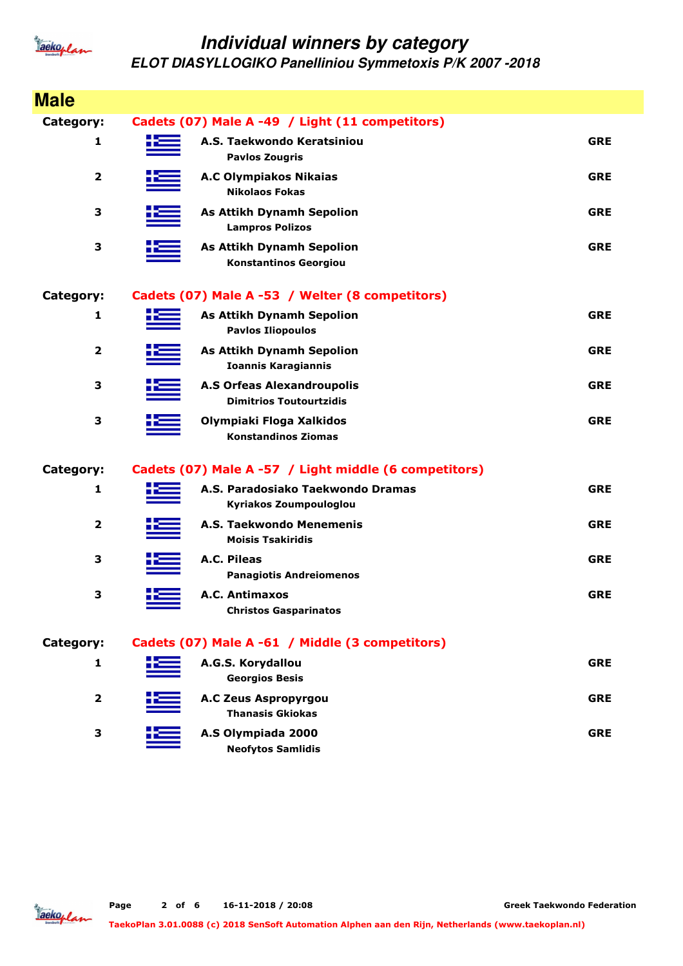

| <b>Male</b>             |                                                                     |            |
|-------------------------|---------------------------------------------------------------------|------------|
| Category:               | Cadets (07) Male A -49 / Light (11 competitors)                     |            |
| 1                       | A.S. Taekwondo Keratsiniou<br><b>Pavlos Zougris</b>                 | <b>GRE</b> |
| $\overline{\mathbf{2}}$ | <b>A.C Olympiakos Nikaias</b><br><b>Nikolaos Fokas</b>              | <b>GRE</b> |
| 3                       | <b>As Attikh Dynamh Sepolion</b><br><b>Lampros Polizos</b>          | <b>GRE</b> |
| 3                       | <b>As Attikh Dynamh Sepolion</b><br><b>Konstantinos Georgiou</b>    | <b>GRE</b> |
| Category:               | Cadets (07) Male A -53 / Welter (8 competitors)                     |            |
| 1                       | <b>As Attikh Dynamh Sepolion</b><br><b>Pavlos Iliopoulos</b>        | <b>GRE</b> |
| $\overline{\mathbf{2}}$ | <b>As Attikh Dynamh Sepolion</b><br><b>Ioannis Karagiannis</b>      | <b>GRE</b> |
| 3                       | <b>A.S Orfeas Alexandroupolis</b><br><b>Dimitrios Toutourtzidis</b> | <b>GRE</b> |
| 3                       | Olympiaki Floga Xalkidos<br><b>Konstandinos Ziomas</b>              | <b>GRE</b> |
| Category:               | Cadets (07) Male A -57 / Light middle (6 competitors)               |            |
| 1                       | A.S. Paradosiako Taekwondo Dramas<br>Kyriakos Zoumpouloglou         | <b>GRE</b> |
| $\mathbf{2}$            | A.S. Taekwondo Menemenis<br><b>Moisis Tsakiridis</b>                | <b>GRE</b> |
| 3                       | <b>A.C. Pileas</b><br><b>Panagiotis Andreiomenos</b>                | <b>GRE</b> |
| 3                       | A.C. Antimaxos<br><b>Christos Gasparinatos</b>                      | <b>GRE</b> |
| Category:               | Cadets (07) Male A -61 / Middle (3 competitors)                     |            |
| 1                       | A.G.S. Korydallou<br><b>Georgios Besis</b>                          | <b>GRE</b> |
| $\mathbf{2}$            | A.C Zeus Aspropyrgou<br><b>Thanasis Gkiokas</b>                     | <b>GRE</b> |
| 3                       | A.S Olympiada 2000<br><b>Neofytos Samlidis</b>                      | <b>GRE</b> |

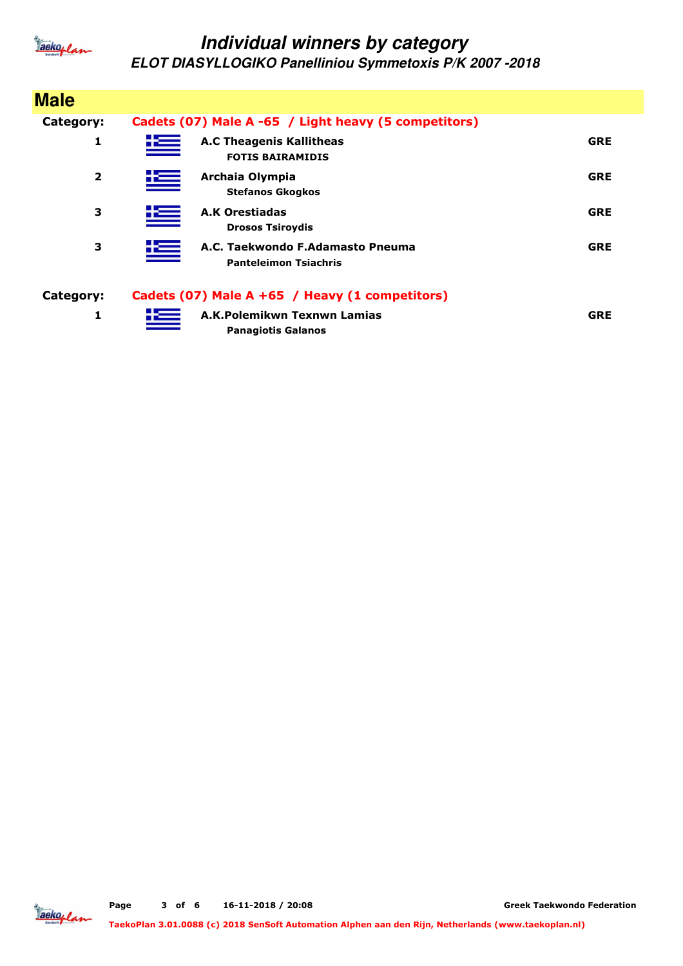

| <b>Male</b>    |   |                                                                  |            |
|----------------|---|------------------------------------------------------------------|------------|
| Category:      |   | Cadets (07) Male A -65 / Light heavy (5 competitors)             |            |
| 1              |   | <b>A.C Theagenis Kallitheas</b><br><b>FOTIS BAIRAMIDIS</b>       | <b>GRE</b> |
| $\overline{2}$ | 些 | Archaia Olympia<br><b>Stefanos Gkogkos</b>                       | <b>GRE</b> |
| 3              | 些 | <b>A.K Orestiadas</b><br><b>Drosos Tsiroydis</b>                 | <b>GRE</b> |
| 3              | 些 | A.C. Taekwondo F.Adamasto Pneuma<br><b>Panteleimon Tsiachris</b> | <b>GRE</b> |
| Category:      |   | Cadets (07) Male A +65 / Heavy (1 competitors)                   |            |
| 1              |   | A.K.Polemikwn Texnwn Lamias<br><b>Panagiotis Galanos</b>         | <b>GRE</b> |



**Greek Taekwondo Federation**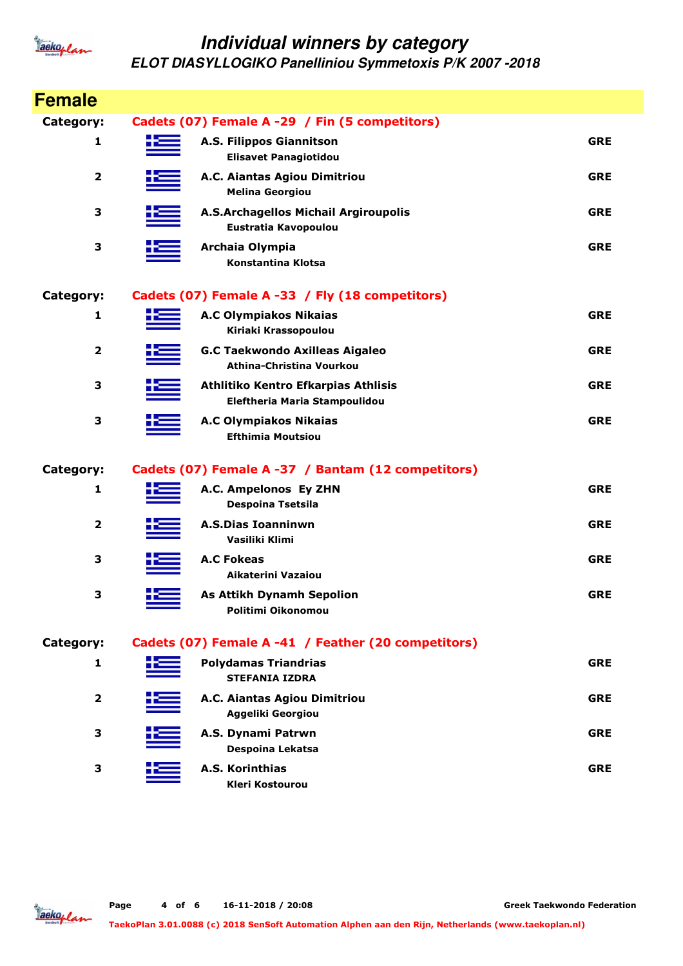

| <b>Female</b>           |                                                                      |            |
|-------------------------|----------------------------------------------------------------------|------------|
| <b>Category:</b>        | Cadets (07) Female A -29 / Fin (5 competitors)                       |            |
| 1                       | A.S. Filippos Giannitson<br><b>Elisavet Panagiotidou</b>             | <b>GRE</b> |
| 2                       | A.C. Aiantas Agiou Dimitriou<br><b>Melina Georgiou</b>               | <b>GRE</b> |
| З                       | <b>A.S.Archagellos Michail Argiroupolis</b><br>Eustratia Kavopoulou  | <b>GRE</b> |
| З                       | Archaia Olympia<br>Konstantina Klotsa                                | <b>GRE</b> |
| <b>Category:</b>        | Cadets (07) Female A -33 / Fly (18 competitors)                      |            |
| 1                       | <b>A.C Olympiakos Nikaias</b><br>Kiriaki Krassopoulou                | <b>GRE</b> |
| 2                       | <b>G.C Taekwondo Axilleas Aigaleo</b><br>Athina-Christina Vourkou    | <b>GRE</b> |
| 3                       | Athlitiko Kentro Efkarpias Athlisis<br>Eleftheria Maria Stampoulidou | <b>GRE</b> |
| 3                       | <b>A.C Olympiakos Nikaias</b><br><b>Efthimia Moutsiou</b>            | <b>GRE</b> |
| Category:               | Cadets (07) Female A -37 / Bantam (12 competitors)                   |            |
| 1                       | A.C. Ampelonos Ey ZHN<br>Despoina Tsetsila                           | <b>GRE</b> |
| $\overline{\mathbf{2}}$ | <b>A.S.Dias Ioanninwn</b><br>Vasiliki Klimi                          | <b>GRE</b> |
| 3                       | <b>A.C Fokeas</b><br>Aikaterini Vazaiou                              | <b>GRE</b> |
| 3                       | <b>As Attikh Dynamh Sepolion</b><br>Politimi Oikonomou               | <b>GRE</b> |
| Category:               | Cadets (07) Female A -41 / Feather (20 competitors)                  |            |
| 1                       | <b>Polydamas Triandrias</b><br><b>STEFANIA IZDRA</b>                 | <b>GRE</b> |
| $\overline{2}$          | A.C. Aiantas Agiou Dimitriou<br>Aggeliki Georgiou                    | <b>GRE</b> |
| З                       | A.S. Dynami Patrwn<br>Despoina Lekatsa                               | <b>GRE</b> |
| З                       | A.S. Korinthias<br><b>Kleri Kostourou</b>                            | <b>GRE</b> |



**Greek Taekwondo Federation**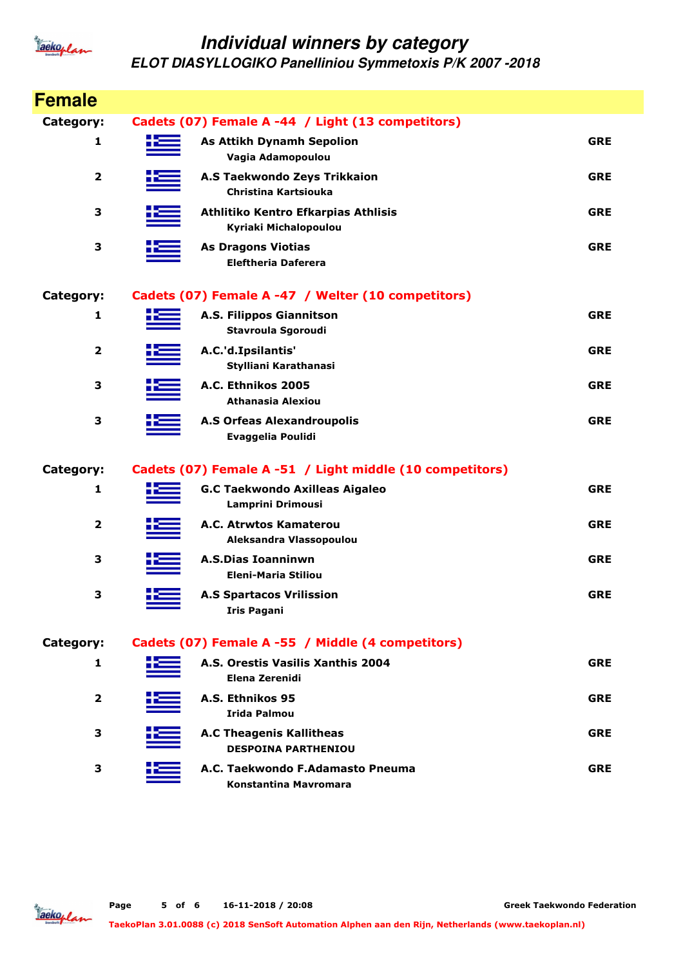

| <b>Female</b>           |                                                                  |            |
|-------------------------|------------------------------------------------------------------|------------|
| Category:               | Cadets (07) Female A -44 / Light (13 competitors)                |            |
| 1                       | <b>As Attikh Dynamh Sepolion</b><br>Vagia Adamopoulou            | <b>GRE</b> |
| $\overline{\mathbf{2}}$ | A.S Taekwondo Zeys Trikkaion<br>Christina Kartsiouka             | <b>GRE</b> |
| 3                       | Athlitiko Kentro Efkarpias Athlisis<br>Kyriaki Michalopoulou     | <b>GRE</b> |
| 3                       | <b>As Dragons Viotias</b><br><b>Eleftheria Daferera</b>          | <b>GRE</b> |
| <b>Category:</b>        | Cadets (07) Female A -47 / Welter (10 competitors)               |            |
| 1                       | A.S. Filippos Giannitson<br>Stavroula Sgoroudi                   | <b>GRE</b> |
| 2                       | A.C.'d.Ipsilantis'<br>Stylliani Karathanasi                      | <b>GRE</b> |
| 3                       | A.C. Ethnikos 2005<br>Athanasia Alexiou                          | <b>GRE</b> |
| 3                       | <b>A.S Orfeas Alexandroupolis</b><br>Evaggelia Poulidi           | <b>GRE</b> |
| Category:               | Cadets (07) Female A -51 / Light middle (10 competitors)         |            |
| 1                       | <b>G.C Taekwondo Axilleas Aigaleo</b><br>Lamprini Drimousi       | <b>GRE</b> |
| 2                       | A.C. Atrwtos Kamaterou<br>Aleksandra Vlassopoulou                | <b>GRE</b> |
| 3                       | <b>A.S.Dias Ioanninwn</b><br><b>Eleni-Maria Stiliou</b>          | <b>GRE</b> |
| 3                       | <b>A.S Spartacos Vrilission</b><br><b>Iris Pagani</b>            | <b>GRE</b> |
| Category:               | Cadets (07) Female A -55 / Middle (4 competitors)                |            |
| 1                       | A.S. Orestis Vasilis Xanthis 2004<br>Elena Zerenidi              | <b>GRE</b> |
| 2                       | A.S. Ethnikos 95<br><b>Irida Palmou</b>                          | <b>GRE</b> |
| 3                       | <b>A.C Theagenis Kallitheas</b><br><b>DESPOINA PARTHENIOU</b>    | <b>GRE</b> |
| 3                       | A.C. Taekwondo F.Adamasto Pneuma<br><b>Konstantina Mavromara</b> | <b>GRE</b> |